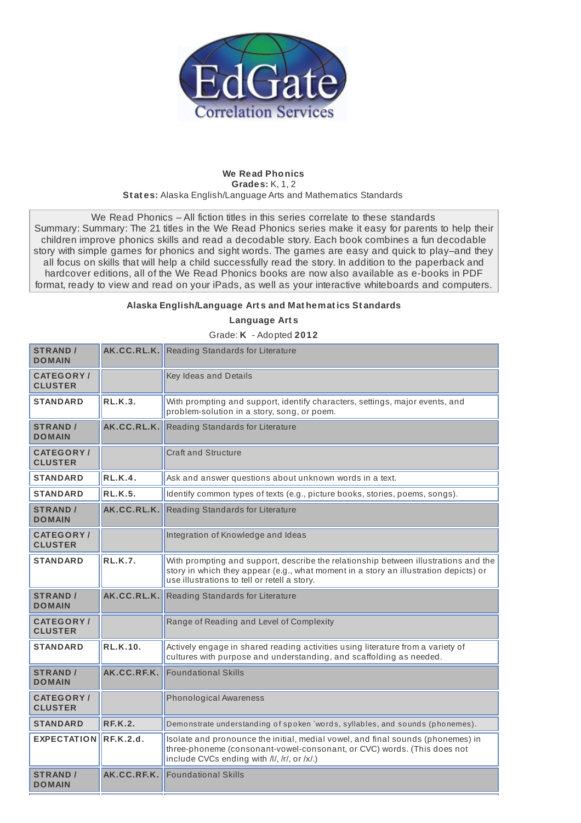

## **We Read Phonics Grades:** K, 1, 2 **St at es:** Alaska English/Language Arts and Mathematics Standards

We Read Phonics – All fiction titles in this series correlate to these standards Summary: Summary: The 21 titles in the We Read Phonics series make it easy for parents to help their children improve phonics skills and read a decodable story. Each book combines a fun decodable story with simple games for phonics and sight words. The games are easy and quick to play–and they all focus on skills that will help a child successfully read the story. In addition to the paperback and hardcover editions, all of the We Read Phonics books are now also available as e-books in PDF format, ready to view and read on your iPads, as well as your interactive whiteboards and computers.

## **Alaska English/Language Art s and Mat hemat ics St andards**

**Language Art s**

Grade: **K** - Adopted **2012**

| <b>STRAND /</b><br><b>DOMAIN</b>   | AK.CC.RL.K.     | Reading Standards for Literature                                                                                                                                                                                            |
|------------------------------------|-----------------|-----------------------------------------------------------------------------------------------------------------------------------------------------------------------------------------------------------------------------|
| <b>CATEGORY/</b><br><b>CLUSTER</b> |                 | Key Ideas and Details                                                                                                                                                                                                       |
| <b>STANDARD</b>                    | <b>RL.K.3.</b>  | With prompting and support, identify characters, settings, major events, and<br>problem-solution in a story, song, or poem.                                                                                                 |
| <b>STRAND /</b><br><b>DOMAIN</b>   | AK.CC.RL.K.     | Reading Standards for Literature                                                                                                                                                                                            |
| <b>CATEGORY/</b><br><b>CLUSTER</b> |                 | <b>Craft and Structure</b>                                                                                                                                                                                                  |
| <b>STANDARD</b>                    | RL.K.4.         | Ask and answer questions about unknown words in a text.                                                                                                                                                                     |
| <b>STANDARD</b>                    | <b>RL.K.5.</b>  | Identify common types of texts (e.g., picture books, stories, poems, songs).                                                                                                                                                |
| <b>STRAND /</b><br><b>DOMAIN</b>   | AK.CC.RL.K.     | Reading Standards for Literature                                                                                                                                                                                            |
| <b>CATEGORY/</b><br><b>CLUSTER</b> |                 | Integration of Knowledge and Ideas                                                                                                                                                                                          |
| <b>STANDARD</b>                    | <b>RL.K.7.</b>  | With prompting and support, describe the relationship between illustrations and the<br>story in which they appear (e.g., what moment in a story an illustration depicts) or<br>use illustrations to tell or retell a story. |
| <b>STRAND /</b><br><b>DOMAIN</b>   | AK.CC.RL.K.     | Reading Standards for Literature                                                                                                                                                                                            |
| <b>CATEGORY/</b><br><b>CLUSTER</b> |                 | Range of Reading and Level of Complexity                                                                                                                                                                                    |
| <b>STANDARD</b>                    | <b>RL.K.10.</b> | Actively engage in shared reading activities using literature from a variety of<br>cultures with purpose and understanding, and scaffolding as needed.                                                                      |
| <b>STRAND /</b><br><b>DOMAIN</b>   | AK.CC.RF.K.     | <b>Foundational Skills</b>                                                                                                                                                                                                  |
| <b>CATEGORY/</b><br><b>CLUSTER</b> |                 | <b>Phonological Awareness</b>                                                                                                                                                                                               |
| <b>STANDARD</b>                    | <b>RF.K.2.</b>  | Demonstrate understanding of spoken `words, syllables, and sounds (phonemes).                                                                                                                                               |
| <b>EXPECTATION</b>                 | RE.K.2.d.       | Isolate and pronounce the initial, medial vowel, and final sounds (phonemes) in<br>three-phoneme (consonant-vowel-consonant, or CVC) words. (This does not<br>include CVCs ending with /l/, /r/, or /x/.)                   |
| <b>STRAND /</b><br><b>DOMAIN</b>   | AK.CC.RF.K.     | <b>Foundational Skills</b>                                                                                                                                                                                                  |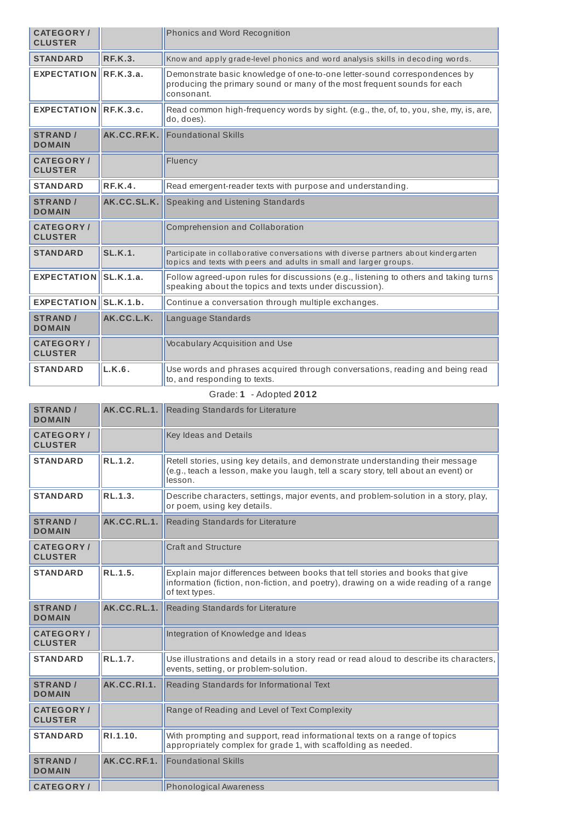| <b>CATEGORY/</b><br><b>CLUSTER</b>  |                | Phonics and Word Recognition                                                                                                                                        |
|-------------------------------------|----------------|---------------------------------------------------------------------------------------------------------------------------------------------------------------------|
| <b>STANDARD</b>                     | REK.3.         | Know and apply grade-level phonics and word analysis skills in decoding words.                                                                                      |
| EXPECTATION RF.K.3.a.               |                | Demonstrate basic knowledge of one-to-one letter-sound correspondences by<br>producing the primary sound or many of the most frequent sounds for each<br>consonant. |
| EXPECTATION RF.K.3.c.               |                | Read common high-frequency words by sight. (e.g., the, of, to, you, she, my, is, are,<br>do, does).                                                                 |
| <b>STRAND /</b><br><b>DOMAIN</b>    | AK.CC.RF.K.    | <b>Foundational Skills</b>                                                                                                                                          |
| <b>CATEGORY /</b><br><b>CLUSTER</b> |                | Fluency                                                                                                                                                             |
| <b>STANDARD</b>                     | RE.K.4.        | Read emergent-reader texts with purpose and understanding.                                                                                                          |
| <b>STRAND /</b><br><b>DOMAIN</b>    | AK.CC.SL.K.    | Speaking and Listening Standards                                                                                                                                    |
| <b>CATEGORY/</b><br><b>CLUSTER</b>  |                | Comprehension and Collaboration                                                                                                                                     |
| <b>STANDARD</b>                     | <b>SL.K.1.</b> | Participate in collaborative conversations with diverse partners about kindergarten<br>topics and texts with peers and adults in small and larger groups.           |
| <b>EXPECTATION</b>                  | SLK.1.a.       | Follow agreed-upon rules for discussions (e.g., listening to others and taking turns<br>speaking about the topics and texts under discussion).                      |
| EXPECTATION SL.K.1.b.               |                | Continue a conversation through multiple exchanges.                                                                                                                 |
| <b>STRAND /</b><br><b>DOMAIN</b>    | AK.CC.L.K.     | Language Standards                                                                                                                                                  |
| <b>CATEGORY/</b><br><b>CLUSTER</b>  |                | <b>Vocabulary Acquisition and Use</b>                                                                                                                               |
| <b>STANDARD</b>                     | L.K.6.         | Use words and phrases acquired through conversations, reading and being read<br>to, and responding to texts.                                                        |
|                                     |                | Grade: 1 - Adopted 2012                                                                                                                                             |

| <b>STRAND /</b><br><b>DOMAIN</b>   | AK.CC.RL.1. | Reading Standards for Literature                                                                                                                                                        |
|------------------------------------|-------------|-----------------------------------------------------------------------------------------------------------------------------------------------------------------------------------------|
| <b>CATEGORY/</b><br><b>CLUSTER</b> |             | Key Ideas and Details                                                                                                                                                                   |
| <b>STANDARD</b>                    | RL.1.2.     | Retell stories, using key details, and demonstrate understanding their message<br>(e.g., teach a lesson, make you laugh, tell a scary story, tell about an event) or<br>lesson.         |
| <b>STANDARD</b>                    | RL.1.3.     | Describe characters, settings, major events, and problem-solution in a story, play,<br>or poem, using key details.                                                                      |
| <b>STRAND /</b><br><b>DOMAIN</b>   | AK.CC.RL.1. | Reading Standards for Literature                                                                                                                                                        |
| <b>CATEGORY/</b><br><b>CLUSTER</b> |             | <b>Craft and Structure</b>                                                                                                                                                              |
| <b>STANDARD</b>                    | RL.1.5.     | Explain major differences between books that tell stories and books that give<br>information (fiction, non-fiction, and poetry), drawing on a wide reading of a range<br>of text types. |
| <b>STRAND /</b><br><b>DOMAIN</b>   | AK.CC.RL.1. | Reading Standards for Literature                                                                                                                                                        |
| <b>CATEGORY/</b><br><b>CLUSTER</b> |             | Integration of Knowledge and Ideas                                                                                                                                                      |
| <b>STANDARD</b>                    | RL.1.7.     | Use illustrations and details in a story read or read aloud to describe its characters,<br>events, setting, or problem-solution.                                                        |
| <b>STRAND /</b><br><b>DOMAIN</b>   | AK.CC.RI.1. | Reading Standards for Informational Text                                                                                                                                                |
| <b>CATEGORY/</b><br><b>CLUSTER</b> |             | Range of Reading and Level of Text Complexity                                                                                                                                           |
| <b>STANDARD</b>                    | RI.1.10.    | With prompting and support, read informational texts on a range of topics<br>appropriately complex for grade 1, with scaffolding as needed.                                             |
| <b>STRAND /</b><br><b>DOMAIN</b>   | AK.CC.RF.1. | <b>Foundational Skills</b>                                                                                                                                                              |
| <b>CATEGORY/</b>                   |             | <b>Phonological Awareness</b>                                                                                                                                                           |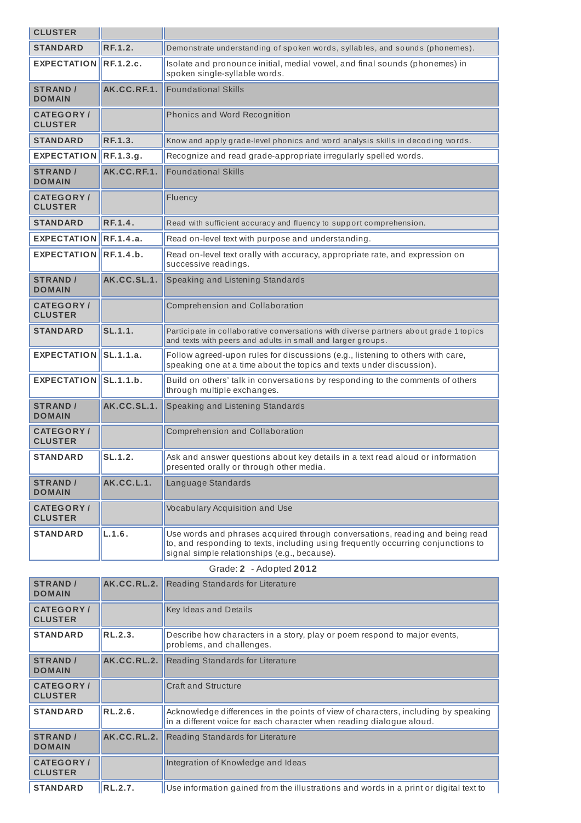| <b>CLUSTER</b>                      |                   |                                                                                                                                                                                                                   |
|-------------------------------------|-------------------|-------------------------------------------------------------------------------------------------------------------------------------------------------------------------------------------------------------------|
| <b>STANDARD</b>                     | <b>RF.1.2.</b>    | Demonstrate understanding of spoken words, syllables, and sounds (phonemes).                                                                                                                                      |
| <b>EXPECTATION</b>                  | <b>RF.1.2.c.</b>  | Isolate and pronounce initial, medial vowel, and final sounds (phonemes) in<br>spoken single-syllable words.                                                                                                      |
| <b>STRAND /</b><br><b>DOMAIN</b>    | AK.CC.RF.1.       | <b>Foundational Skills</b>                                                                                                                                                                                        |
| <b>CATEGORY /</b><br><b>CLUSTER</b> |                   | Phonics and Word Recognition                                                                                                                                                                                      |
| <b>STANDARD</b>                     | RF.1.3.           | Know and apply grade-level phonics and word analysis skills in decoding words.                                                                                                                                    |
| <b>EXPECTATION</b>                  | RF.1.3.g.         | Recognize and read grade-appropriate irregularly spelled words.                                                                                                                                                   |
| <b>STRAND /</b><br><b>DOMAIN</b>    | AK.CC.RF.1.       | <b>Foundational Skills</b>                                                                                                                                                                                        |
| <b>CATEGORY/</b><br><b>CLUSTER</b>  |                   | Fluency                                                                                                                                                                                                           |
| <b>STANDARD</b>                     | RF.1.4.           | Read with sufficient accuracy and fluency to support comprehension.                                                                                                                                               |
| <b>EXPECTATION</b>                  | RF.1.4.a.         | Read on-level text with purpose and understanding.                                                                                                                                                                |
| <b>EXPECTATION</b>                  | RF.1.4.b.         | Read on-level text orally with accuracy, appropriate rate, and expression on<br>successive readings.                                                                                                              |
| <b>STRAND /</b><br><b>DOMAIN</b>    | AK.CC.SL.1.       | Speaking and Listening Standards                                                                                                                                                                                  |
| <b>CATEGORY/</b><br><b>CLUSTER</b>  |                   | Comprehension and Collaboration                                                                                                                                                                                   |
| <b>STANDARD</b>                     | SL.1.1.           | Participate in collaborative conversations with diverse partners about grade 1 topics<br>and texts with peers and adults in small and larger groups.                                                              |
| <b>EXPECTATION</b>                  | SL.1.1.a.         | Follow agreed-upon rules for discussions (e.g., listening to others with care,<br>speaking one at a time about the topics and texts under discussion).                                                            |
| <b>EXPECTATION</b>                  | SL.1.1.b.         | Build on others' talk in conversations by responding to the comments of others<br>through multiple exchanges.                                                                                                     |
| <b>STRAND /</b><br><b>DOMAIN</b>    | AK.CC.SL.1.       | Speaking and Listening Standards                                                                                                                                                                                  |
| <b>CATEGORY /</b><br><b>CLUSTER</b> |                   | Comprehension and Collaboration                                                                                                                                                                                   |
| <b>STANDARD</b>                     | SL.1.2.           | Ask and answer questions about key details in a text read aloud or information<br>presented orally or through other media.                                                                                        |
| <b>STRAND /</b><br><b>DOMAIN</b>    | <b>AK.CC.L.1.</b> | Language Standards                                                                                                                                                                                                |
| <b>CATEGORY /</b><br><b>CLUSTER</b> |                   | Vocabulary Acquisition and Use                                                                                                                                                                                    |
| <b>STANDARD</b>                     | L.1.6.            | Use words and phrases acquired through conversations, reading and being read<br>to, and responding to texts, including using frequently occurring conjunctions to<br>signal simple relationships (e.g., because). |
|                                     |                   | Grade: 2 - Adopted 2012                                                                                                                                                                                           |
| <b>STRAND /</b><br><b>DOMAIN</b>    | AK.CC.RL.2.       | Reading Standards for Literature                                                                                                                                                                                  |
| <b>CATEGORY/</b><br><b>CLUSTER</b>  |                   | Key Ideas and Details                                                                                                                                                                                             |
| STANDARD                            | RL.2.3.           | Describe how characters in a story, play or poem respond to major events,<br>problems, and challenges.                                                                                                            |
| <b>STRAND /</b><br><b>DOMAIN</b>    | AK.CC.RL.2.       | Reading Standards for Literature                                                                                                                                                                                  |

| <b>CATEGORY /</b><br><b>CLUSTER</b> |                | <b>Craft and Structure</b>                                                                                                                                 |
|-------------------------------------|----------------|------------------------------------------------------------------------------------------------------------------------------------------------------------|
| <b>STANDARD</b>                     | <b>RL.2.6.</b> | Acknowledge differences in the points of view of characters, including by speaking<br>in a different voice for each character when reading dialogue aloud. |
| <b>STRAND</b> /<br><b>DOMAIN</b>    | AK.CC.RL.2.    | <b>Reading Standards for Literature</b>                                                                                                                    |
| <b>CATEGORY /</b><br><b>CLUSTER</b> |                | Integration of Knowledge and Ideas                                                                                                                         |
| <b>STANDARD</b>                     | <b>RL.2.7.</b> | Use information gained from the illustrations and words in a print or digital text to                                                                      |

٦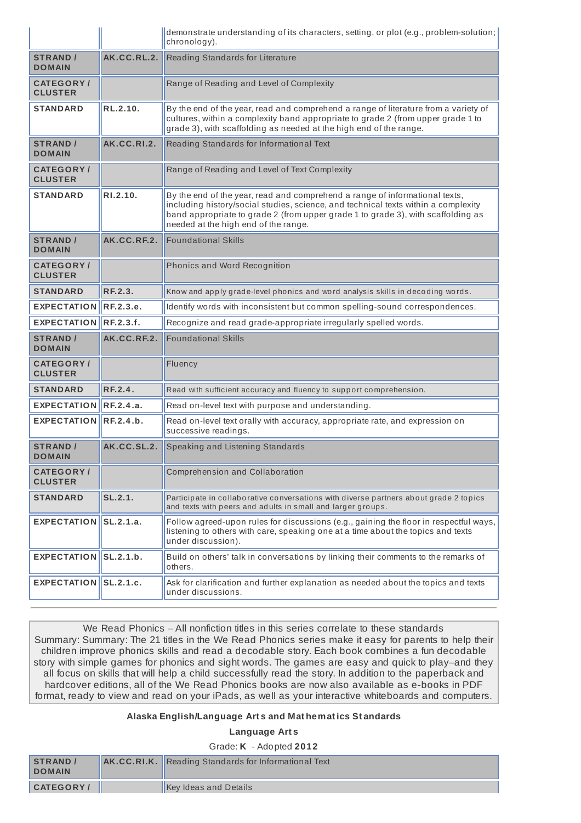|                                     |                    | demonstrate understanding of its characters, setting, or plot (e.g., problem-solution;<br>chronology).                                                                                                                                                                                        |
|-------------------------------------|--------------------|-----------------------------------------------------------------------------------------------------------------------------------------------------------------------------------------------------------------------------------------------------------------------------------------------|
| <b>STRAND /</b><br><b>DOMAIN</b>    | AK.CC.RL.2.        | Reading Standards for Literature                                                                                                                                                                                                                                                              |
| <b>CATEGORY</b> /<br><b>CLUSTER</b> |                    | Range of Reading and Level of Complexity                                                                                                                                                                                                                                                      |
| <b>STANDARD</b>                     | RL.2.10.           | By the end of the year, read and comprehend a range of literature from a variety of<br>cultures, within a complexity band appropriate to grade 2 (from upper grade 1 to<br>grade 3), with scaffolding as needed at the high end of the range.                                                 |
| <b>STRAND /</b><br><b>DOMAIN</b>    | <b>AK.CC.RI.2.</b> | Reading Standards for Informational Text                                                                                                                                                                                                                                                      |
| <b>CATEGORY/</b><br><b>CLUSTER</b>  |                    | Range of Reading and Level of Text Complexity                                                                                                                                                                                                                                                 |
| <b>STANDARD</b>                     | RI.2.10.           | By the end of the year, read and comprehend a range of informational texts,<br>including history/social studies, science, and technical texts within a complexity<br>band appropriate to grade 2 (from upper grade 1 to grade 3), with scaffolding as<br>needed at the high end of the range. |
| <b>STRAND /</b><br><b>DOMAIN</b>    | AK.CC.RF.2.        | <b>Foundational Skills</b>                                                                                                                                                                                                                                                                    |
| <b>CATEGORY/</b><br><b>CLUSTER</b>  |                    | Phonics and Word Recognition                                                                                                                                                                                                                                                                  |
| <b>STANDARD</b>                     | RF.2.3.            | Know and apply grade-level phonics and word analysis skills in decoding words.                                                                                                                                                                                                                |
| <b>EXPECTATION</b>                  | RF.2.3.e.          | Identify words with inconsistent but common spelling-sound correspondences.                                                                                                                                                                                                                   |
| <b>EXPECTATION</b>                  | IRF.2.3.f.         | Recognize and read grade-appropriate irregularly spelled words.                                                                                                                                                                                                                               |
| <b>STRAND /</b><br><b>DOMAIN</b>    | AK.CC.RF.2.        | <b>Foundational Skills</b>                                                                                                                                                                                                                                                                    |
| <b>CATEGORY/</b><br><b>CLUSTER</b>  |                    | Fluency                                                                                                                                                                                                                                                                                       |
| <b>STANDARD</b>                     | RF.2.4.            | Read with sufficient accuracy and fluency to support comprehension.                                                                                                                                                                                                                           |
| <b>EXPECTATION</b>                  | RE.2.4.a.          | Read on-level text with purpose and understanding.                                                                                                                                                                                                                                            |
| <b>EXPECTATION</b>                  | RF.2.4.b.          | Read on-level text orally with accuracy, appropriate rate, and expression on<br>successive readings.                                                                                                                                                                                          |
| <b>STRAND /</b><br><b>DOMAIN</b>    | AK.CC.SL.2.        | Speaking and Listening Standards                                                                                                                                                                                                                                                              |
| <b>CATEGORY/</b><br><b>CLUSTER</b>  |                    | Comprehension and Collaboration                                                                                                                                                                                                                                                               |
| <b>STANDARD</b>                     | SL.2.1.            | Participate in collaborative conversations with diverse partners about grade 2 topics<br>and texts with peers and adults in small and larger groups.                                                                                                                                          |
| EXPECTATION SL.2.1.a.               |                    | Follow agreed-upon rules for discussions (e.g., gaining the floor in respectful ways,<br>listening to others with care, speaking one at a time about the topics and texts<br>under discussion).                                                                                               |
| EXPECTATION SL.2.1.b.               |                    | Build on others' talk in conversations by linking their comments to the remarks of<br>others.                                                                                                                                                                                                 |
| EXPECTATION SL.2.1.c.               |                    | Ask for clarification and further explanation as needed about the topics and texts<br>under discussions.                                                                                                                                                                                      |

We Read Phonics – All nonfiction titles in this series correlate to these standards Summary: Summary: The 21 titles in the We Read Phonics series make it easy for parents to help their children improve phonics skills and read a decodable story. Each book combines a fun decodable story with simple games for phonics and sight words. The games are easy and quick to play–and they all focus on skills that will help a child successfully read the story. In addition to the paperback and hardcover editions, all of the We Read Phonics books are now also available as e-books in PDF format, ready to view and read on your iPads, as well as your interactive whiteboards and computers.

## **Alaska English/Language Art s and Mat hemat ics St andards**

## **Language Art s**

Grade: **K** - Adopted **2012**

| <b>STRAND</b><br><b>DOMAIN</b> | <b>AK.CC.RI.K.</b> Reading Standards for Informational Text |
|--------------------------------|-------------------------------------------------------------|
| <b>CATEGORY/</b>               | <b>Key Ideas and Details</b>                                |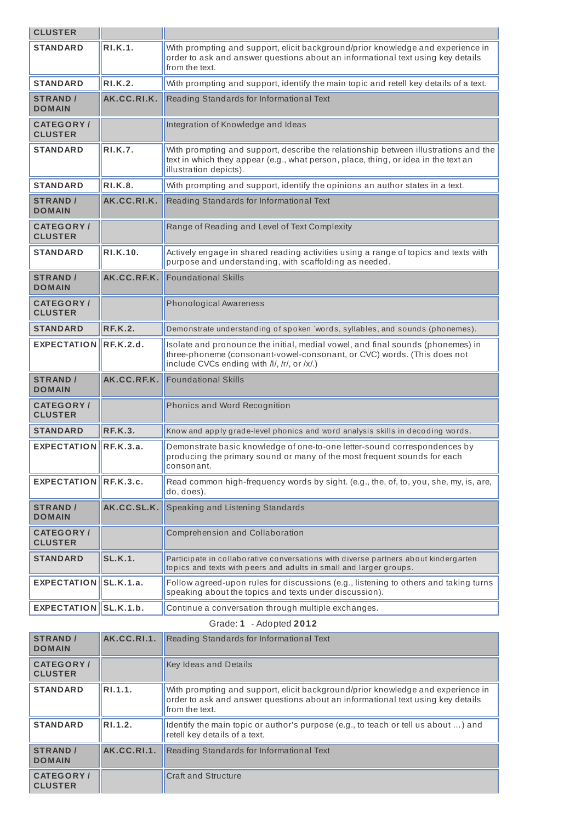| <b>CLUSTER</b>                      |                  |                                                                                                                                                                                                           |
|-------------------------------------|------------------|-----------------------------------------------------------------------------------------------------------------------------------------------------------------------------------------------------------|
| <b>STANDARD</b>                     | RI.K.1.          | With prompting and support, elicit background/prior knowledge and experience in<br>order to ask and answer questions about an informational text using key details<br>from the text.                      |
| <b>STANDARD</b>                     | <b>RI.K.2.</b>   | With prompting and support, identify the main topic and retell key details of a text.                                                                                                                     |
| <b>STRAND /</b><br><b>DOMAIN</b>    | AK.CC.RI.K.      | Reading Standards for Informational Text                                                                                                                                                                  |
| <b>CATEGORY</b> /<br><b>CLUSTER</b> |                  | Integration of Knowledge and Ideas                                                                                                                                                                        |
| <b>STANDARD</b>                     | <b>RI.K.7.</b>   | With prompting and support, describe the relationship between illustrations and the<br>text in which they appear (e.g., what person, place, thing, or idea in the text an<br>illustration depicts).       |
| <b>STANDARD</b>                     | <b>RI.K.8.</b>   | With prompting and support, identify the opinions an author states in a text.                                                                                                                             |
| <b>STRAND /</b><br><b>DOMAIN</b>    | AK.CC.RI.K.      | Reading Standards for Informational Text                                                                                                                                                                  |
| <b>CATEGORY</b> /<br><b>CLUSTER</b> |                  | Range of Reading and Level of Text Complexity                                                                                                                                                             |
| <b>STANDARD</b>                     | RI.K.10.         | Actively engage in shared reading activities using a range of topics and texts with<br>purpose and understanding, with scaffolding as needed.                                                             |
| <b>STRAND /</b><br><b>DOMAIN</b>    | AK.CC.RF.K.      | <b>Foundational Skills</b>                                                                                                                                                                                |
| <b>CATEGORY</b> /<br><b>CLUSTER</b> |                  | <b>Phonological Awareness</b>                                                                                                                                                                             |
| <b>STANDARD</b>                     | <b>RF.K.2.</b>   | Demonstrate understanding of spoken `words, syllables, and sounds (phonemes).                                                                                                                             |
|                                     |                  |                                                                                                                                                                                                           |
| <b>EXPECTATION</b>                  | RE.K.2.d.        | Isolate and pronounce the initial, medial vowel, and final sounds (phonemes) in<br>three-phoneme (consonant-vowel-consonant, or CVC) words. (This does not<br>include CVCs ending with /l/, /r/, or /x/.) |
| <b>STRAND /</b><br><b>DOMAIN</b>    | AK.CC.RF.K.      | <b>Foundational Skills</b>                                                                                                                                                                                |
| <b>CATEGORY/</b><br><b>CLUSTER</b>  |                  | Phonics and Word Recognition                                                                                                                                                                              |
| <b>STANDARD</b>                     | <b>RF.K.3.</b>   | Know and apply grade-level phonics and word analysis skills in decoding words.                                                                                                                            |
| <b>EXPECTATION</b>                  | RE.K.3.a.        | Demonstrate basic knowledge of one-to-one letter-sound correspondences by<br>producing the primary sound or many of the most frequent sounds for each<br>consonant.                                       |
| <b>EXPECTATION</b>                  | <b>RF.K.3.c.</b> | Read common high-frequency words by sight. (e.g., the, of, to, you, she, my, is, are,<br>do, does).                                                                                                       |
| <b>STRAND /</b><br><b>DOMAIN</b>    | AK.CC.SL.K.      | Speaking and Listening Standards                                                                                                                                                                          |
| <b>CATEGORY/</b><br><b>CLUSTER</b>  |                  | Comprehension and Collaboration                                                                                                                                                                           |
| <b>STANDARD</b>                     | <b>SL.K.1.</b>   | Participate in collaborative conversations with diverse partners about kindergarten<br>topics and texts with peers and adults in small and larger groups.                                                 |
| <b>EXPECTATION</b>                  | SLK.1.a.         | Follow agreed-upon rules for discussions (e.g., listening to others and taking turns<br>speaking about the topics and texts under discussion).                                                            |

| Grade: $\bm{1}$ | - Adopted 2012 |  |
|-----------------|----------------|--|
|-----------------|----------------|--|

| <b>STRAND /</b><br><b>DOMAIN</b>   | AK.CC.RI.1.           | Reading Standards for Informational Text                                                                                                                                             |
|------------------------------------|-----------------------|--------------------------------------------------------------------------------------------------------------------------------------------------------------------------------------|
| <b>CATEGORY/</b><br><b>CLUSTER</b> |                       | <b>Key Ideas and Details</b>                                                                                                                                                         |
| <b>STANDARD</b>                    | $ R$ <sub>1.1.1</sub> | With prompting and support, elicit background/prior knowledge and experience in<br>order to ask and answer questions about an informational text using key details<br>from the text. |
| <b>STANDARD</b>                    | RI.1.2.               | Identify the main topic or author's purpose (e.g., to teach or tell us about ) and<br>retell key details of a text.                                                                  |
| <b>STRAND /</b><br><b>DOMAIN</b>   | AK.CC.RI.1.           | Reading Standards for Informational Text                                                                                                                                             |
| <b>CATEGORY</b><br><b>CLUSTER</b>  |                       | <b>Craft and Structure</b>                                                                                                                                                           |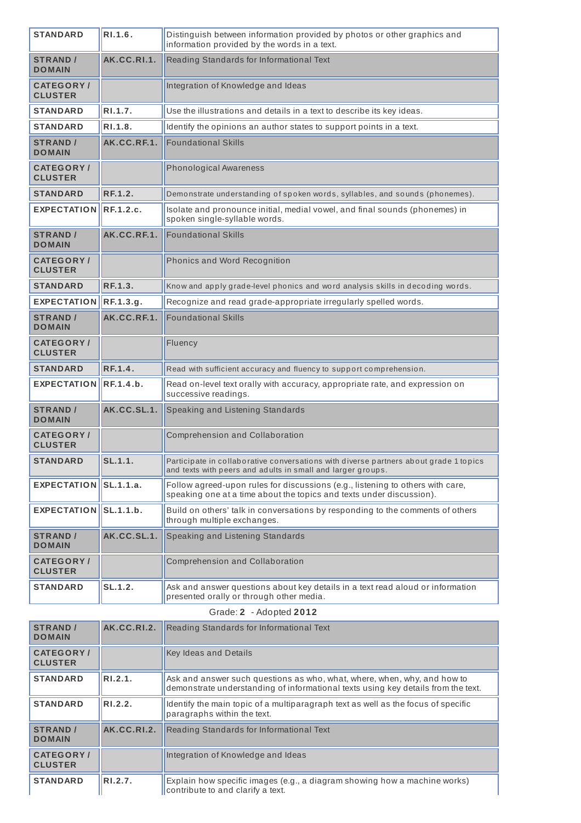| <b>STANDARD</b>                     | R1.1.6.        | Distinguish between information provided by photos or other graphics and<br>information provided by the words in a text.                               |
|-------------------------------------|----------------|--------------------------------------------------------------------------------------------------------------------------------------------------------|
| <b>STRAND /</b><br><b>DOMAIN</b>    | AK.CC.RI.1.    | Reading Standards for Informational Text                                                                                                               |
| <b>CATEGORY/</b><br><b>CLUSTER</b>  |                | Integration of Knowledge and Ideas                                                                                                                     |
| <b>STANDARD</b>                     | RI.1.7.        | Use the illustrations and details in a text to describe its key ideas.                                                                                 |
| <b>STANDARD</b>                     | R1.1.8.        | Identify the opinions an author states to support points in a text.                                                                                    |
| <b>STRAND /</b><br><b>DOMAIN</b>    | AK.CC.RF.1.    | <b>Foundational Skills</b>                                                                                                                             |
| <b>CATEGORY/</b><br><b>CLUSTER</b>  |                | <b>Phonological Awareness</b>                                                                                                                          |
| <b>STANDARD</b>                     | <b>RF.1.2.</b> | Demonstrate understanding of spoken words, syllables, and sounds (phonemes).                                                                           |
| <b>EXPECTATION</b>                  | RF.1.2.c.      | Isolate and pronounce initial, medial vowel, and final sounds (phonemes) in<br>spoken single-syllable words.                                           |
| <b>STRAND /</b><br><b>DOMAIN</b>    | AK.CC.RF.1.    | <b>Foundational Skills</b>                                                                                                                             |
| <b>CATEGORY</b> /<br><b>CLUSTER</b> |                | Phonics and Word Recognition                                                                                                                           |
| <b>STANDARD</b>                     | RF.1.3.        | Know and apply grade-level phonics and word analysis skills in decoding words.                                                                         |
| EXPECTATION $\left\Vert$ RF.1.3.g.  |                | Recognize and read grade-appropriate irregularly spelled words.                                                                                        |
| <b>STRAND /</b><br><b>DOMAIN</b>    | AK.CC.RF.1.    | <b>Foundational Skills</b>                                                                                                                             |
| <b>CATEGORY /</b><br><b>CLUSTER</b> |                | Fluency                                                                                                                                                |
| <b>STANDARD</b>                     | <b>RF.1.4.</b> | Read with sufficient accuracy and fluency to support comprehension.                                                                                    |
| <b>EXPECTATION</b>                  | RE.1.4.b.      | Read on-level text orally with accuracy, appropriate rate, and expression on<br>successive readings.                                                   |
| <b>STRAND /</b><br><b>DOMAIN</b>    | AK.CC.SL.1.    | Speaking and Listening Standards                                                                                                                       |
| <b>CATEGORY/</b><br><b>CLUSTER</b>  |                | Comprehension and Collaboration                                                                                                                        |
| <b>STANDARD</b>                     | $SL.1.1$ .     | Participate in collaborative conversations with diverse partners about grade 1 topics<br>and texts with peers and adults in small and larger groups.   |
| EXPECTATION SL.1.1.a.               |                | Follow agreed-upon rules for discussions (e.g., listening to others with care,<br>speaking one at a time about the topics and texts under discussion). |
| EXPECTATION SL.1.1.b.               |                | Build on others' talk in conversations by responding to the comments of others<br>through multiple exchanges.                                          |
| <b>STRAND /</b><br><b>DOMAIN</b>    | AK.CC.SL.1.    | Speaking and Listening Standards                                                                                                                       |
| <b>CATEGORY/</b><br><b>CLUSTER</b>  |                | Comprehension and Collaboration                                                                                                                        |
| <b>STANDARD</b>                     | SL.1.2.        | Ask and answer questions about key details in a text read aloud or information<br>presented orally or through other media.                             |
|                                     |                | Grade: 2 - Adopted 2012                                                                                                                                |
|                                     |                |                                                                                                                                                        |

| <b>STRAND /</b><br><b>DOMAIN</b>    | AK.CC.RI.2. | Reading Standards for Informational Text                                                                                                                      |
|-------------------------------------|-------------|---------------------------------------------------------------------------------------------------------------------------------------------------------------|
| <b>CATEGORY</b> /<br><b>CLUSTER</b> |             | <b>Key Ideas and Details</b>                                                                                                                                  |
| <b>STANDARD</b>                     | RI.2.1.     | Ask and answer such questions as who, what, where, when, why, and how to<br>demonstrate understanding of informational texts using key details from the text. |
| <b>STANDARD</b>                     | R1.2.2.     | ldentify the main topic of a multiparagraph text as well as the focus of specific<br>paragraphs within the text.                                              |
| <b>STRAND</b><br><b>DOMAIN</b>      | AK.CC.RI.2. | Reading Standards for Informational Text                                                                                                                      |
| <b>CATEGORY</b> /<br><b>CLUSTER</b> |             | Integration of Knowledge and Ideas                                                                                                                            |
| <b>STANDARD</b>                     | RI.2.7.     | Explain how specific images (e.g., a diagram showing how a machine works)<br>contribute to and clarify a text.                                                |